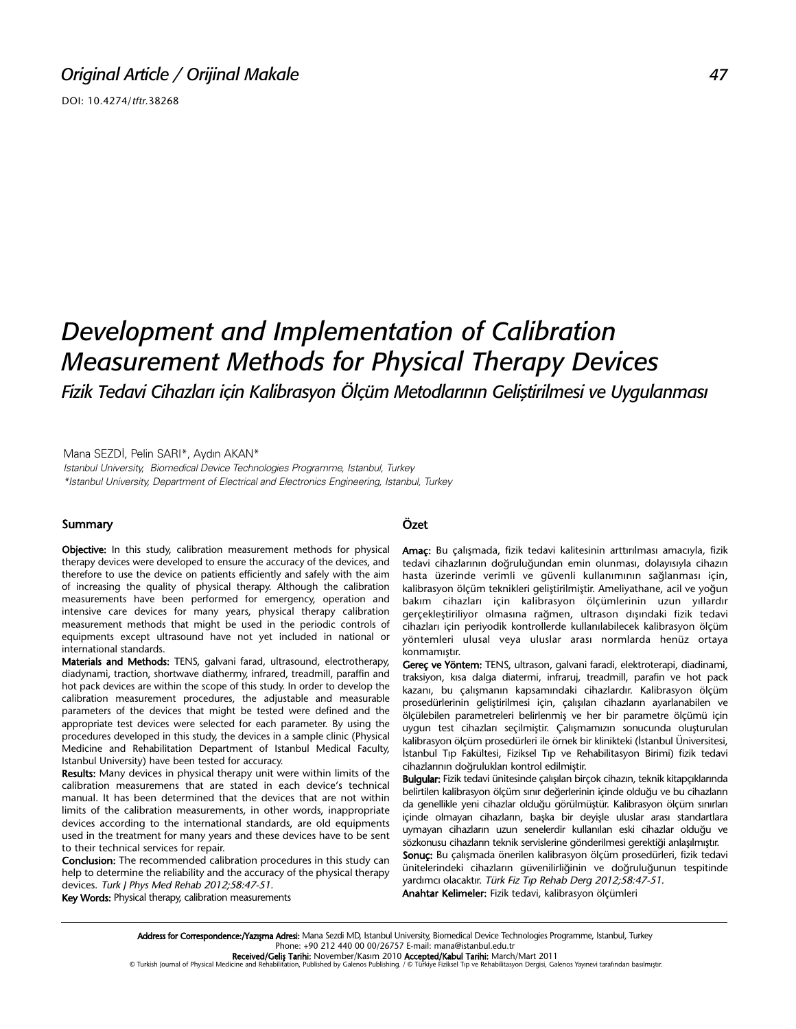DOI: 10.4274/tftr.38268

# *Development and Implementation of Calibration Measurement Methods for Physical Therapy Devices*

*Fizik Tedavi Cihazları için Kalibrasyon Ölçüm Metodlarının Geliştirilmesi ve Uygulanması*

Mana SEZDİ, Pelin SARI\*, Aydın AKAN\* Istanbul University, Biomedical Device Technologies Programme, Istanbul, Turkey \*Istanbul University, Department of Electrical and Electronics Engineering, Istanbul, Turkey

#### Summary

Objective: In this study, calibration measurement methods for physical therapy devices were developed to ensure the accuracy of the devices, and therefore to use the device on patients efficiently and safely with the aim of increasing the quality of physical therapy. Although the calibration measurements have been performed for emergency, operation and intensive care devices for many years, physical therapy calibration measurement methods that might be used in the periodic controls of equipments except ultrasound have not yet included in national or international standards.

Materials and Methods: TENS, galvani farad, ultrasound, electrotherapy, diadynami, traction, shortwave diathermy, infrared, treadmill, paraffin and hot pack devices are within the scope of this study. In order to develop the calibration measurement procedures, the adjustable and measurable parameters of the devices that might be tested were defined and the appropriate test devices were selected for each parameter. By using the procedures developed in this study, the devices in a sample clinic (Physical Medicine and Rehabilitation Department of Istanbul Medical Faculty, Istanbul University) have been tested for accuracy.

Results: Many devices in physical therapy unit were within limits of the calibration measuremens that are stated in each device's technical manual. It has been determined that the devices that are not within limits of the calibration measurements, in other words, inappropriate devices according to the international standards, are old equipments used in the treatment for many years and these devices have to be sent to their technical services for repair.

Conclusion: The recommended calibration procedures in this study can help to determine the reliability and the accuracy of the physical therapy devices. Turk J Phys Med Rehab 2012;58:47-51.

Key Words: Physical therapy, calibration measurements

### Özet

Amaç: Bu çalışmada, fizik tedavi kalitesinin arttırılması amacıyla, fizik tedavi cihazlarının doğruluğundan emin olunması, dolayısıyla cihazın hasta üzerinde verimli ve güvenli kullanımının sağlanması için, kalibrasyon ölçüm teknikleri geliştirilmiştir. Ameliyathane, acil ve yoğun bakım cihazları için kalibrasyon ölçümlerinin uzun yıllardır gerçekleştiriliyor olmasına rağmen, ultrason dışındaki fizik tedavi cihazları için periyodik kontrollerde kullanılabilecek kalibrasyon ölçüm yöntemleri ulusal veya uluslar arası normlarda henüz ortaya konmamıştır.

Gereç ve Yöntem: TENS, ultrason, galvani faradi, elektroterapi, diadinami, traksiyon, kısa dalga diatermi, infraruj, treadmill, parafin ve hot pack kazanı, bu çalışmanın kapsamındaki cihazlardır. Kalibrasyon ölçüm prosedürlerinin geliştirilmesi için, çalışılan cihazların ayarlanabilen ve ölçülebilen parametreleri belirlenmiş ve her bir parametre ölçümü için uygun test cihazları seçilmiştir. Çalışmamızın sonucunda oluşturulan kalibrasyon ölçüm prosedürleri ile örnek bir klinikteki (İstanbul Üniversitesi, İstanbul Tıp Fakültesi, Fiziksel Tıp ve Rehabilitasyon Birimi) fizik tedavi cihazlarının doğrulukları kontrol edilmiştir.

Bulgular: Fizik tedavi ünitesinde çalışılan birçok cihazın, teknik kitapçıklarında belirtilen kalibrasyon ölçüm sınır değerlerinin içinde olduğu ve bu cihazların da genellikle yeni cihazlar olduğu görülmüştür. Kalibrasyon ölçüm sınırları içinde olmayan cihazların, başka bir deyişle uluslar arası standartlara uymayan cihazların uzun senelerdir kullanılan eski cihazlar olduğu ve sözkonusu cihazların teknik servislerine gönderilmesi gerektiği anlaşılmıştır.

Sonuc: Bu çalışmada önerilen kalibrasyon ölçüm prosedürleri, fizik tedavi ünitelerindeki cihazların güvenilirliğinin ve doğruluğunun tespitinde yardımcı olacaktır. Türk Fiz Tıp Rehab Derg 2012;58:47-51. Anahtar Kelimeler: Fizik tedavi, kalibrasyon ölçümleri

Address for Correspondence:/Yazışma Adresi: Mana Sezdi MD, Istanbul University, Biomedical Device Technologies Programme, Istanbul, Turkey Phone: +90 212 440 00 00/26757 E-mail: mana@istanbul.edu.tr

**Received/Geliş Tarihi:** November/Kasım 2010 **Accepted/Kabul Tarihi:** March/Mart 2011<br>© Turkish Journal of Physical Medicine and Rehabilitation, Published by Galenos Publishing. / © Türkiye Fiziksel Tıp ve Rehabilitasyon D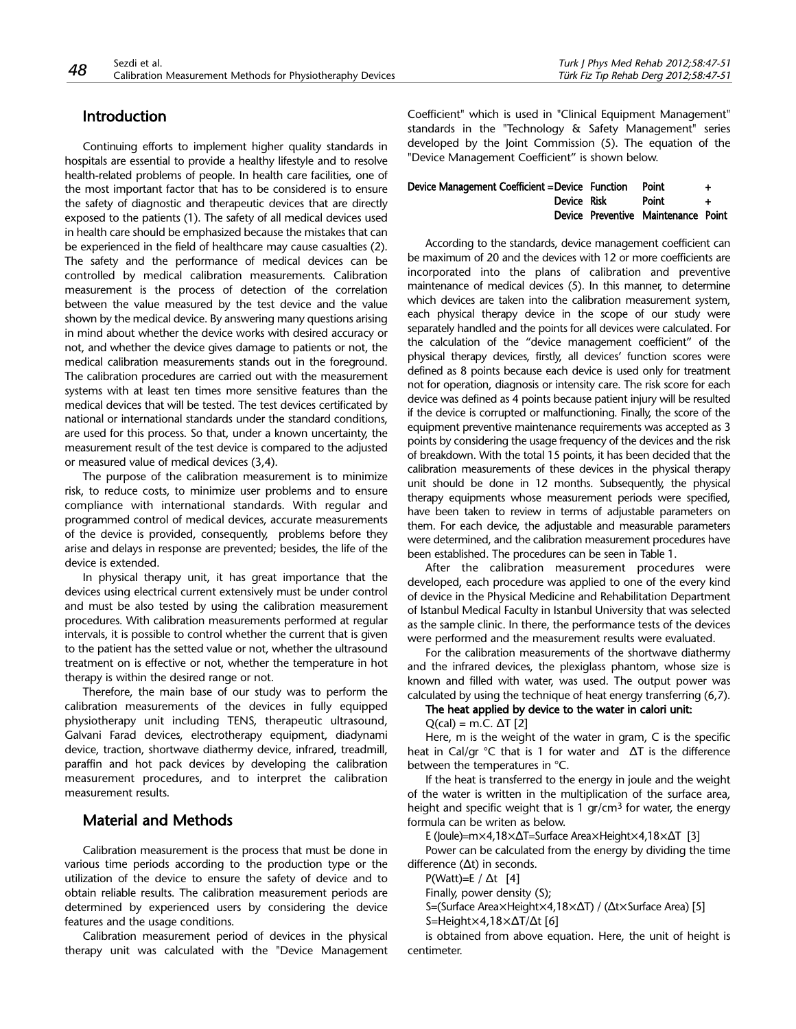# Introduction

Continuing efforts to implement higher quality standards in hospitals are essential to provide a healthy lifestyle and to resolve health-related problems of people. In health care facilities, one of the most important factor that has to be considered is to ensure the safety of diagnostic and therapeutic devices that are directly exposed to the patients (1). The safety of all medical devices used in health care should be emphasized because the mistakes that can be experienced in the field of healthcare may cause casualties (2). The safety and the performance of medical devices can be controlled by medical calibration measurements. Calibration measurement is the process of detection of the correlation between the value measured by the test device and the value shown by the medical device. By answering many questions arising in mind about whether the device works with desired accuracy or not, and whether the device gives damage to patients or not, the medical calibration measurements stands out in the foreground. The calibration procedures are carried out with the measurement systems with at least ten times more sensitive features than the medical devices that will be tested. The test devices certificated by national or international standards under the standard conditions, are used for this process. So that, under a known uncertainty, the measurement result of the test device is compared to the adjusted or measured value of medical devices (3,4).

The purpose of the calibration measurement is to minimize risk, to reduce costs, to minimize user problems and to ensure compliance with international standards. With regular and programmed control of medical devices, accurate measurements of the device is provided, consequently, problems before they arise and delays in response are prevented; besides, the life of the device is extended.

In physical therapy unit, it has great importance that the devices using electrical current extensively must be under control and must be also tested by using the calibration measurement procedures. With calibration measurements performed at regular intervals, it is possible to control whether the current that is given to the patient has the setted value or not, whether the ultrasound treatment on is effective or not, whether the temperature in hot therapy is within the desired range or not.

Therefore, the main base of our study was to perform the calibration measurements of the devices in fully equipped physiotherapy unit including TENS, therapeutic ultrasound, Galvani Farad devices, electrotherapy equipment, diadynami device, traction, shortwave diathermy device, infrared, treadmill, paraffin and hot pack devices by developing the calibration measurement procedures, and to interpret the calibration measurement results.

# Material and Methods

Calibration measurement is the process that must be done in various time periods according to the production type or the utilization of the device to ensure the safety of device and to obtain reliable results. The calibration measurement periods are determined by experienced users by considering the device features and the usage conditions.

Calibration measurement period of devices in the physical therapy unit was calculated with the "Device Management Coefficient" which is used in "Clinical Equipment Management" standards in the "Technology & Safety Management" series developed by the Joint Commission (5). The equation of the "Device Management Coefficient" is shown below.

| Device Management Coefficient = Device Function | Point                               | +        |
|-------------------------------------------------|-------------------------------------|----------|
| Device Risk                                     | <b>Point</b>                        | <b>+</b> |
|                                                 | Device Preventive Maintenance Point |          |

According to the standards, device management coefficient can be maximum of 20 and the devices with 12 or more coefficients are incorporated into the plans of calibration and preventive maintenance of medical devices (5). In this manner, to determine which devices are taken into the calibration measurement system, each physical therapy device in the scope of our study were separately handled and the points for all devices were calculated. For the calculation of the "device management coefficient" of the physical therapy devices, firstly, all devices' function scores were defined as 8 points because each device is used only for treatment not for operation, diagnosis or intensity care. The risk score for each device was defined as 4 points because patient injury will be resulted if the device is corrupted or malfunctioning. Finally, the score of the equipment preventive maintenance requirements was accepted as 3 points by considering the usage frequency of the devices and the risk of breakdown. With the total 15 points, it has been decided that the calibration measurements of these devices in the physical therapy unit should be done in 12 months. Subsequently, the physical therapy equipments whose measurement periods were specified, have been taken to review in terms of adjustable parameters on them. For each device, the adjustable and measurable parameters were determined, and the calibration measurement procedures have been established. The procedures can be seen in Table 1.

After the calibration measurement procedures were developed, each procedure was applied to one of the every kind of device in the Physical Medicine and Rehabilitation Department of Istanbul Medical Faculty in Istanbul University that was selected as the sample clinic. In there, the performance tests of the devices were performed and the measurement results were evaluated.

For the calibration measurements of the shortwave diathermy and the infrared devices, the plexiglass phantom, whose size is known and filled with water, was used. The output power was calculated by using the technique of heat energy transferring (6,7).

# The heat applied by device to the water in calori unit:

 $Q(cal) = m.C. \Delta T$  [2]

Here, m is the weight of the water in gram, C is the specific heat in Cal/gr °C that is 1 for water and ΔT is the difference between the temperatures in °C.

If the heat is transferred to the energy in joule and the weight of the water is written in the multiplication of the surface area, height and specific weight that is 1  $gr/cm<sup>3</sup>$  for water, the energy formula can be writen as below.

E (Joule)=m×4,18×ΔT=Surface Area×Height×4,18×ΔT [3]

Power can be calculated from the energy by dividing the time difference (Δt) in seconds.

P(Watt)=E /  $\Delta t$  [4]

Finally, power density (S);

S=(Surface Area×Height×4,18×ΔT) / (Δt×Surface Area) [5]

S=Height×4,18×ΔT/Δt [6]

is obtained from above equation. Here, the unit of height is centimeter.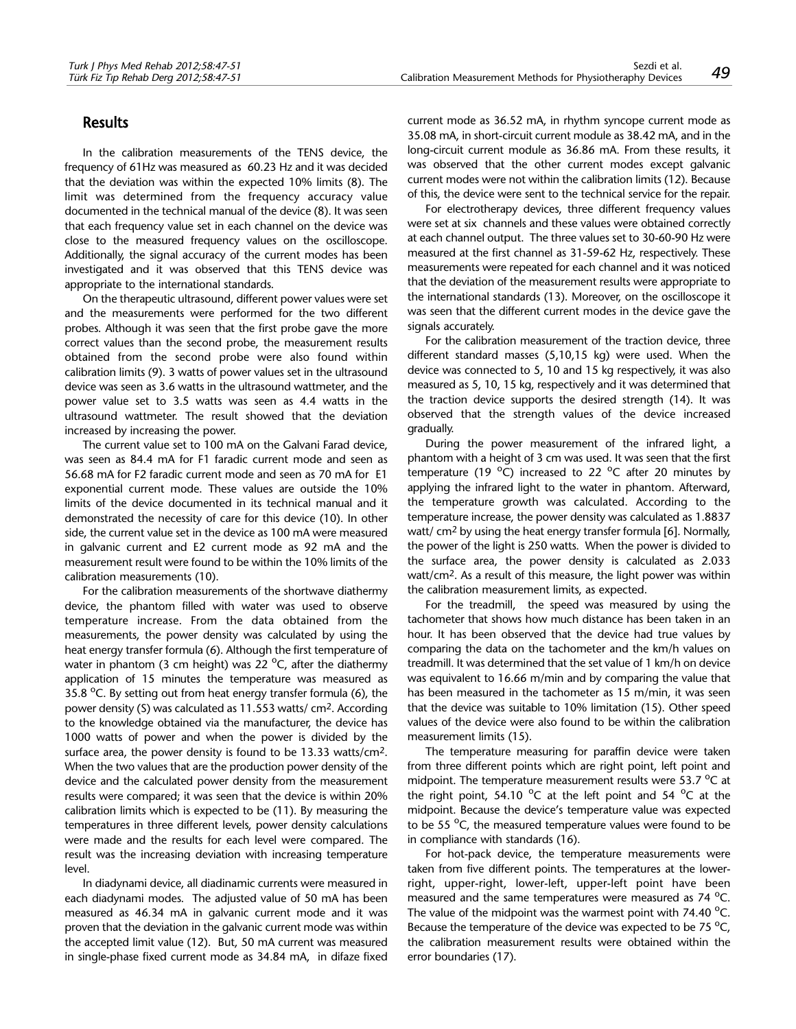## Results

In the calibration measurements of the TENS device, the frequency of 61Hz was measured as 60.23 Hz and it was decided that the deviation was within the expected 10% limits (8). The limit was determined from the frequency accuracy value documented in the technical manual of the device (8). It was seen that each frequency value set in each channel on the device was close to the measured frequency values on the oscilloscope. Additionally, the signal accuracy of the current modes has been investigated and it was observed that this TENS device was appropriate to the international standards.

On the therapeutic ultrasound, different power values were set and the measurements were performed for the two different probes. Although it was seen that the first probe gave the more correct values than the second probe, the measurement results obtained from the second probe were also found within calibration limits (9). 3 watts of power values set in the ultrasound device was seen as 3.6 watts in the ultrasound wattmeter, and the power value set to 3.5 watts was seen as 4.4 watts in the ultrasound wattmeter. The result showed that the deviation increased by increasing the power.

The current value set to 100 mA on the Galvani Farad device, was seen as 84.4 mA for F1 faradic current mode and seen as 56.68 mA for F2 faradic current mode and seen as 70 mA for E1 exponential current mode. These values are outside the 10% limits of the device documented in its technical manual and it demonstrated the necessity of care for this device (10). In other side, the current value set in the device as 100 mA were measured in galvanic current and E2 current mode as 92 mA and the measurement result were found to be within the 10% limits of the calibration measurements (10).

For the calibration measurements of the shortwave diathermy device, the phantom filled with water was used to observe temperature increase. From the data obtained from the measurements, the power density was calculated by using the heat energy transfer formula (6). Although the first temperature of water in phantom (3 cm height) was 22  $^{\circ}$ C, after the diathermy application of 15 minutes the temperature was measured as 35.8  $\mathrm{^0C}$ . By setting out from heat energy transfer formula (6), the power density (S) was calculated as 11.553 watts/ cm2. According to the knowledge obtained via the manufacturer, the device has 1000 watts of power and when the power is divided by the surface area, the power density is found to be 13.33 watts/cm2. When the two values that are the production power density of the device and the calculated power density from the measurement results were compared; it was seen that the device is within 20% calibration limits which is expected to be (11). By measuring the temperatures in three different levels, power density calculations were made and the results for each level were compared. The result was the increasing deviation with increasing temperature level.

In diadynami device, all diadinamic currents were measured in each diadynami modes. The adjusted value of 50 mA has been measured as 46.34 mA in galvanic current mode and it was proven that the deviation in the galvanic current mode was within the accepted limit value (12). But, 50 mA current was measured in single-phase fixed current mode as 34.84 mA, in difaze fixed

current mode as 36.52 mA, in rhythm syncope current mode as 35.08 mA, in short-circuit current module as 38.42 mA, and in the long-circuit current module as 36.86 mA. From these results, it was observed that the other current modes except galvanic current modes were not within the calibration limits (12). Because of this, the device were sent to the technical service for the repair.

For electrotherapy devices, three different frequency values were set at six channels and these values were obtained correctly at each channel output. The three values set to 30-60-90 Hz were measured at the first channel as 31-59-62 Hz, respectively. These measurements were repeated for each channel and it was noticed that the deviation of the measurement results were appropriate to the international standards (13). Moreover, on the oscilloscope it was seen that the different current modes in the device gave the signals accurately.

For the calibration measurement of the traction device, three different standard masses (5,10,15 kg) were used. When the device was connected to 5, 10 and 15 kg respectively, it was also measured as 5, 10, 15 kg, respectively and it was determined that the traction device supports the desired strength (14). It was observed that the strength values of the device increased gradually.

During the power measurement of the infrared light, a phantom with a height of 3 cm was used. It was seen that the first temperature (19 $^{\circ}$ C) increased to 22  $^{\circ}$ C after 20 minutes by applying the infrared light to the water in phantom. Afterward, the temperature growth was calculated. According to the temperature increase, the power density was calculated as 1.8837 watt/ cm2 by using the heat energy transfer formula [6]. Normally, the power of the light is 250 watts. When the power is divided to the surface area, the power density is calculated as 2.033 watt/cm2. As a result of this measure, the light power was within the calibration measurement limits, as expected.

For the treadmill, the speed was measured by using the tachometer that shows how much distance has been taken in an hour. It has been observed that the device had true values by comparing the data on the tachometer and the km/h values on treadmill. It was determined that the set value of 1 km/h on device was equivalent to 16.66 m/min and by comparing the value that has been measured in the tachometer as 15 m/min, it was seen that the device was suitable to 10% limitation (15). Other speed values of the device were also found to be within the calibration measurement limits (15).

The temperature measuring for paraffin device were taken from three different points which are right point, left point and midpoint. The temperature measurement results were 53.7  $^{\circ}$ C at the right point, 54.10  $^{\circ}$ C at the left point and 54  $^{\circ}$ C at the midpoint. Because the device's temperature value was expected to be 55 °C, the measured temperature values were found to be in compliance with standards (16).

For hot-pack device, the temperature measurements were taken from five different points. The temperatures at the lowerright, upper-right, lower-left, upper-left point have been measured and the same temperatures were measured as 74 °C. The value of the midpoint was the warmest point with 74.40  $^{\circ}$ C. Because the temperature of the device was expected to be 75  $^{\circ}$ C, the calibration measurement results were obtained within the error boundaries (17).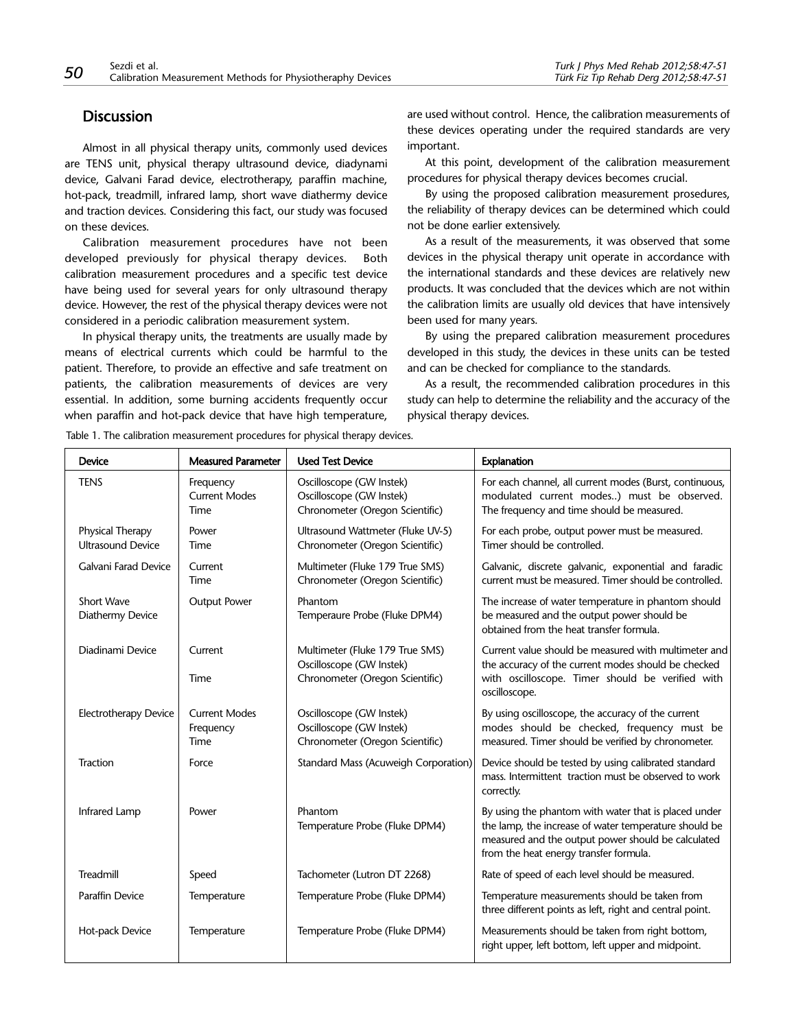## **Discussion**

Almost in all physical therapy units, commonly used devices are TENS unit, physical therapy ultrasound device, diadynami device, Galvani Farad device, electrotherapy, paraffin machine, hot-pack, treadmill, infrared lamp, short wave diathermy device and traction devices. Considering this fact, our study was focused on these devices.

Calibration measurement procedures have not been developed previously for physical therapy devices. Both calibration measurement procedures and a specific test device have being used for several years for only ultrasound therapy device. However, the rest of the physical therapy devices were not considered in a periodic calibration measurement system.

In physical therapy units, the treatments are usually made by means of electrical currents which could be harmful to the patient. Therefore, to provide an effective and safe treatment on patients, the calibration measurements of devices are very essential. In addition, some burning accidents frequently occur when paraffin and hot-pack device that have high temperature,

are used without control. Hence, the calibration measurements of these devices operating under the required standards are very important.

At this point, development of the calibration measurement procedures for physical therapy devices becomes crucial.

By using the proposed calibration measurement prosedures, the reliability of therapy devices can be determined which could not be done earlier extensively.

As a result of the measurements, it was observed that some devices in the physical therapy unit operate in accordance with the international standards and these devices are relatively new products. It was concluded that the devices which are not within the calibration limits are usually old devices that have intensively been used for many years.

By using the prepared calibration measurement procedures developed in this study, the devices in these units can be tested and can be checked for compliance to the standards.

As a result, the recommended calibration procedures in this study can help to determine the reliability and the accuracy of the physical therapy devices.

Table 1. The calibration measurement procedures for physical therapy devices.

| <b>Device</b>                                | <b>Measured Parameter</b>                 | <b>Used Test Device</b>                                                                        | Explanation                                                                                                                                                                                                   |
|----------------------------------------------|-------------------------------------------|------------------------------------------------------------------------------------------------|---------------------------------------------------------------------------------------------------------------------------------------------------------------------------------------------------------------|
| <b>TENS</b>                                  | Frequency<br><b>Current Modes</b><br>Time | Oscilloscope (GW Instek)<br>Oscilloscope (GW Instek)<br>Chronometer (Oregon Scientific)        | For each channel, all current modes (Burst, continuous,<br>modulated current modes) must be observed.<br>The frequency and time should be measured.                                                           |
| Physical Therapy<br><b>Ultrasound Device</b> | Power<br>Time                             | Ultrasound Wattmeter (Fluke UV-5)<br>Chronometer (Oregon Scientific)                           | For each probe, output power must be measured.<br>Timer should be controlled.                                                                                                                                 |
| Galvani Farad Device                         | Current<br>Time                           | Multimeter (Fluke 179 True SMS)<br>Chronometer (Oregon Scientific)                             | Galvanic, discrete galvanic, exponential and faradic<br>current must be measured. Timer should be controlled.                                                                                                 |
| Short Wave<br>Diathermy Device               | <b>Output Power</b>                       | Phantom<br>Temperaure Probe (Fluke DPM4)                                                       | The increase of water temperature in phantom should<br>be measured and the output power should be<br>obtained from the heat transfer formula.                                                                 |
| Diadinami Device                             | Current<br>Time                           | Multimeter (Fluke 179 True SMS)<br>Oscilloscope (GW Instek)<br>Chronometer (Oregon Scientific) | Current value should be measured with multimeter and<br>the accuracy of the current modes should be checked<br>with oscilloscope. Timer should be verified with<br>oscilloscope.                              |
| <b>Electrotherapy Device</b>                 | <b>Current Modes</b><br>Frequency<br>Time | Oscilloscope (GW Instek)<br>Oscilloscope (GW Instek)<br>Chronometer (Oregon Scientific)        | By using oscilloscope, the accuracy of the current<br>modes should be checked, frequency must be<br>measured. Timer should be verified by chronometer.                                                        |
| Traction                                     | Force                                     | Standard Mass (Acuweigh Corporation)                                                           | Device should be tested by using calibrated standard<br>mass. Intermittent traction must be observed to work<br>correctly.                                                                                    |
| Infrared Lamp                                | Power                                     | Phantom<br>Temperature Probe (Fluke DPM4)                                                      | By using the phantom with water that is placed under<br>the lamp, the increase of water temperature should be<br>measured and the output power should be calculated<br>from the heat energy transfer formula. |
| Treadmill                                    | Speed                                     | Tachometer (Lutron DT 2268)                                                                    | Rate of speed of each level should be measured.                                                                                                                                                               |
| <b>Paraffin Device</b>                       | Temperature                               | Temperature Probe (Fluke DPM4)                                                                 | Temperature measurements should be taken from<br>three different points as left, right and central point.                                                                                                     |
| Hot-pack Device                              | Temperature                               | Temperature Probe (Fluke DPM4)                                                                 | Measurements should be taken from right bottom,<br>right upper, left bottom, left upper and midpoint.                                                                                                         |